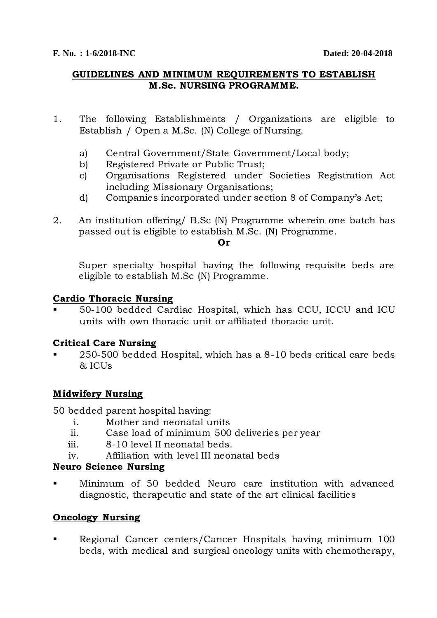### **GUIDELINES AND MINIMUM REQUIREMENTS TO ESTABLISH M.Sc. NURSING PROGRAMME.**

- 1. The following Establishments / Organizations are eligible to Establish / Open a M.Sc. (N) College of Nursing.
	- a) Central Government/State Government/Local body;
	- b) Registered Private or Public Trust;
	- c) Organisations Registered under Societies Registration Act including Missionary Organisations;
	- d) Companies incorporated under section 8 of Company's Act;
- 2. An institution offering/ B.Sc (N) Programme wherein one batch has passed out is eligible to establish M.Sc. (N) Programme.

#### **Or**

Super specialty hospital having the following requisite beds are eligible to establish M.Sc (N) Programme.

#### **Cardio Thoracic Nursing**

 50-100 bedded Cardiac Hospital, which has CCU, ICCU and ICU units with own thoracic unit or affiliated thoracic unit.

### **Critical Care Nursing**

 250-500 bedded Hospital, which has a 8-10 beds critical care beds & ICUs

### **Midwifery Nursing**

50 bedded parent hospital having:

- i. Mother and neonatal units
- ii. Case load of minimum 500 deliveries per year
- iii. 8-10 level II neonatal beds.
- iv. Affiliation with level III neonatal beds

### **Neuro Science Nursing**

 Minimum of 50 bedded Neuro care institution with advanced diagnostic, therapeutic and state of the art clinical facilities

### **Oncology Nursing**

 Regional Cancer centers/Cancer Hospitals having minimum 100 beds, with medical and surgical oncology units with chemotherapy,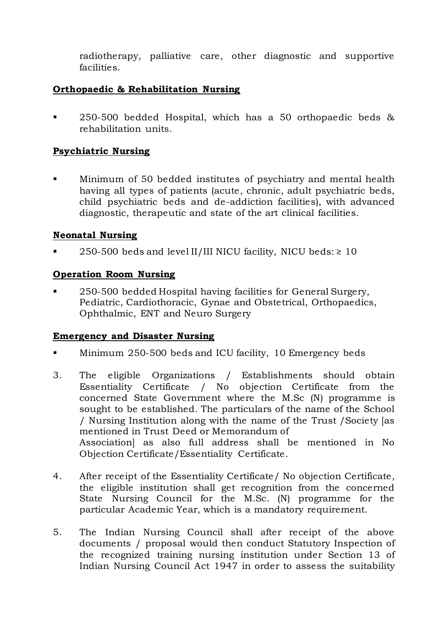radiotherapy, palliative care, other diagnostic and supportive facilities.

## **Orthopaedic & Rehabilitation Nursing**

 250-500 bedded Hospital, which has a 50 orthopaedic beds & rehabilitation units.

## **Psychiatric Nursing**

 Minimum of 50 bedded institutes of psychiatry and mental health having all types of patients (acute, chronic, adult psychiatric beds, child psychiatric beds and de-addiction facilities), with advanced diagnostic, therapeutic and state of the art clinical facilities.

#### **Neonatal Nursing**

250-500 beds and level II/III NICU facility, NICU beds:  $\geq 10$ 

### **Operation Room Nursing**

 250-500 bedded Hospital having facilities for General Surgery, Pediatric, Cardiothoracic, Gynae and Obstetrical, Orthopaedics, Ophthalmic, ENT and Neuro Surgery

### **Emergency and Disaster Nursing**

- **Minimum 250-500 beds and ICU facility, 10 Emergency beds**
- 3. The eligible Organizations / Establishments should obtain Essentiality Certificate / No objection Certificate from the concerned State Government where the M.Sc (N) programme is sought to be established. The particulars of the name of the School / Nursing Institution along with the name of the Trust /Society [as mentioned in Trust Deed or Memorandum of Association] as also full address shall be mentioned in No Objection Certificate/Essentiality Certificate.
- 4. After receipt of the Essentiality Certificate/ No objection Certificate, the eligible institution shall get recognition from the concerned State Nursing Council for the M.Sc. (N) programme for the particular Academic Year, which is a mandatory requirement.
- 5. The Indian Nursing Council shall after receipt of the above documents / proposal would then conduct Statutory Inspection of the recognized training nursing institution under Section 13 of Indian Nursing Council Act 1947 in order to assess the suitability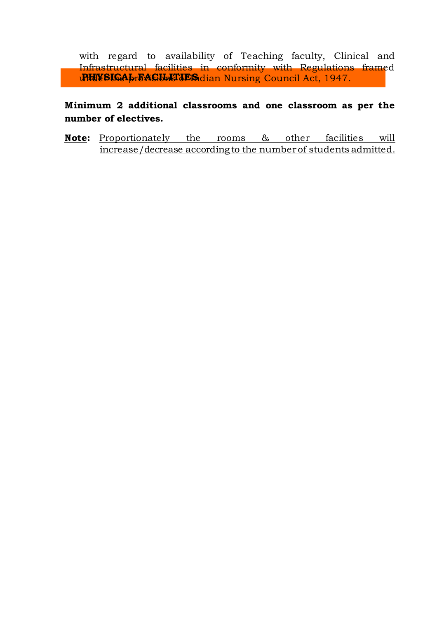**PHYSICA prEACULTIES** dian Nursing Council Act, 1947. with regard to availability of Teaching faculty, Clinical and Infrastructural facilities in conformity with Regulations framed

**Minimum 2 additional classrooms and one classroom as per the number of electives.**

**Note:** Proportionately the rooms & other facilities will increase/decrease according to the number of students admitted.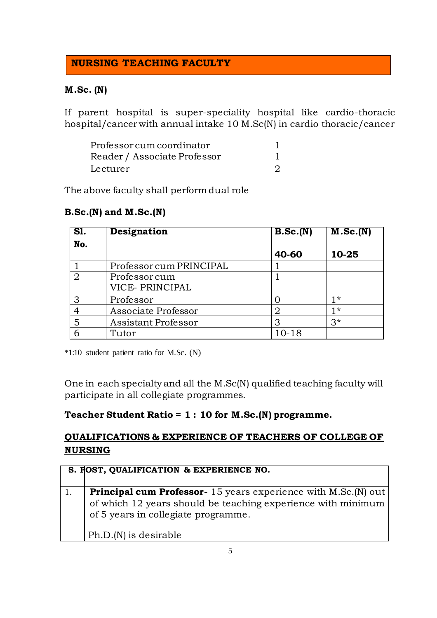# **NURSING TEACHING FACULTY**

### **M.Sc. (N)**

If parent hospital is super-speciality hospital like cardio-thoracic hospital/cancer with annual intake 10 M.Sc(N) in cardio thoracic/cancer

| Professor cum coordinator    |  |
|------------------------------|--|
| Reader / Associate Professor |  |
| Lecturer                     |  |

The above faculty shall perform dual role

#### **B.Sc.(N) and M.Sc.(N)**

| SI. | Designation             | B.Sc.(N) | $\overline{\mathbf{M}.\mathbf{Sc.}}(\mathbf{N})$ |
|-----|-------------------------|----------|--------------------------------------------------|
| No. |                         |          |                                                  |
|     |                         | 40-60    | 10-25                                            |
|     | Professor cum PRINCIPAL |          |                                                  |
| 2   | Professorcum            |          |                                                  |
|     | VICE- PRINCIPAL         |          |                                                  |
| 3   | Professor               |          | 1 *                                              |
|     | Associate Professor     | 2        | 1*                                               |
| 5   | Assistant Professor     | З        | $3*$                                             |
|     | Tutor                   | 10-18    |                                                  |

\*1:10 student patient ratio for M.Sc. (N)

One in each specialty and all the M.Sc(N) qualified teaching faculty will participate in all collegiate programmes.

### **Teacher Student Ratio = 1 : 10 for M.Sc.(N) programme.**

# **QUALIFICATIONS & EXPERIENCE OF TEACHERS OF COLLEGE OF NURSING**

| S. POST, QUALIFICATION & EXPERIENCE NO.                                                                                                                                       |
|-------------------------------------------------------------------------------------------------------------------------------------------------------------------------------|
| <b>Principal cum Professor</b> -15 years experience with M.Sc. (N) out<br>of which 12 years should be teaching experience with minimum<br>of 5 years in collegiate programme. |
| Ph.D.(N) is desirable                                                                                                                                                         |